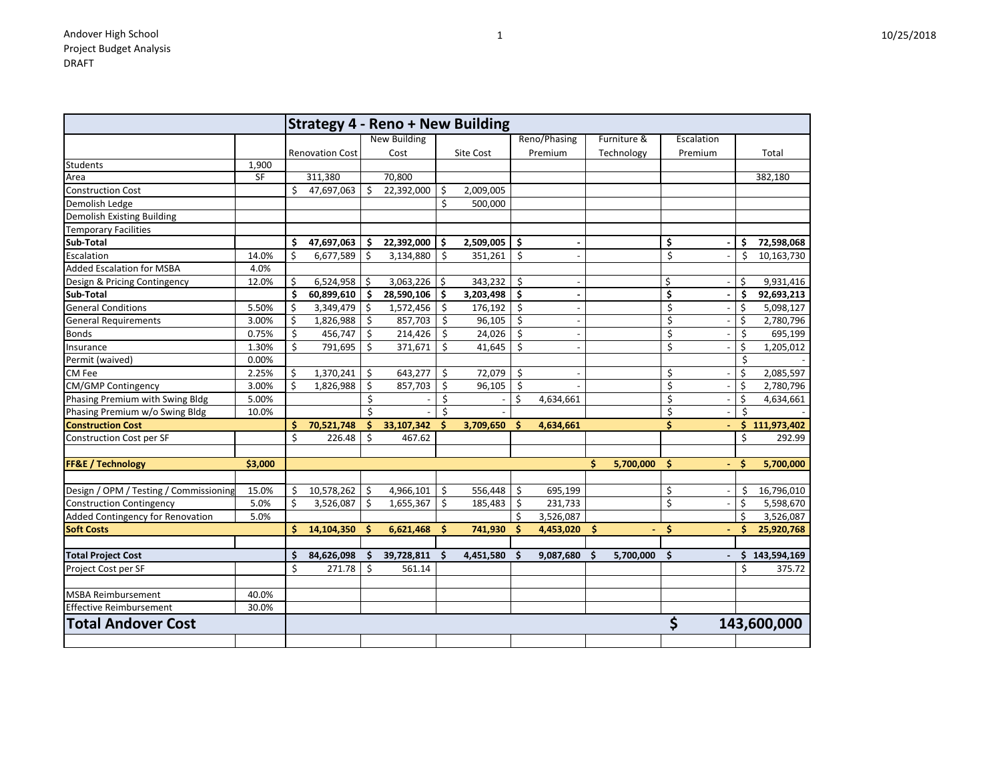| ∸ | 10/25/2018 |
|---|------------|
|   |            |

|                                        |           |              | <b>Strategy 4 - Reno + New Building</b> |    |                     |     |           |          |              |    |             |    |                          |    |             |
|----------------------------------------|-----------|--------------|-----------------------------------------|----|---------------------|-----|-----------|----------|--------------|----|-------------|----|--------------------------|----|-------------|
|                                        |           |              |                                         |    | <b>New Building</b> |     |           |          | Reno/Phasing |    | Furniture & |    | Escalation               |    |             |
|                                        |           |              | <b>Renovation Cost</b>                  |    | Cost                |     | Site Cost |          | Premium      |    | Technology  |    | Premium                  |    | Total       |
| <b>Students</b>                        | 1,900     |              |                                         |    |                     |     |           |          |              |    |             |    |                          |    |             |
| Area                                   | <b>SF</b> |              | 311,380                                 |    | 70,800              |     |           |          |              |    |             |    |                          |    | 382,180     |
| <b>Construction Cost</b>               |           | \$           | 47,697,063                              | \$ | 22,392,000          | \$  | 2,009,005 |          |              |    |             |    |                          |    |             |
| Demolish Ledge                         |           |              |                                         |    |                     | \$  | 500,000   |          |              |    |             |    |                          |    |             |
| <b>Demolish Existing Building</b>      |           |              |                                         |    |                     |     |           |          |              |    |             |    |                          |    |             |
| Temporary Facilities                   |           |              |                                         |    |                     |     |           |          |              |    |             |    |                          |    |             |
| Sub-Total                              |           | \$           | 47,697,063                              | \$ | 22,392,000          | \$. | 2,509,005 | \$       |              |    |             | \$ | $\blacksquare$           | Ŝ  | 72,598,068  |
| Escalation                             | 14.0%     | \$           | 6,677,589                               | \$ | 3,134,880           | \$  | 351,261   | \$       |              |    |             | \$ | $\overline{\phantom{a}}$ | \$ | 10,163,730  |
| <b>Added Escalation for MSBA</b>       | 4.0%      |              |                                         |    |                     |     |           |          |              |    |             |    |                          |    |             |
| Design & Pricing Contingency           | 12.0%     | \$           | 6,524,958                               | \$ | 3,063,226           | \$  | 343,232   | \$       |              |    |             | \$ |                          | \$ | 9,931,416   |
| Sub-Total                              |           | \$           | 60,899,610                              | \$ | 28,590,106          | Ŝ   | 3,203,498 | \$       |              |    |             | \$ | $\blacksquare$           | \$ | 92,693,213  |
| <b>General Conditions</b>              | 5.50%     | \$           | 3,349,479                               | \$ | 1,572,456           | \$  | 176,192   | \$       |              |    |             | \$ | $\overline{\phantom{a}}$ | \$ | 5,098,127   |
| <b>General Requirements</b>            | 3.00%     | \$           | 1,826,988                               |    | 857,703             | \$  | 96,105    | \$       |              |    |             | \$ |                          | \$ | 2,780,796   |
| <b>Bonds</b>                           | 0.75%     | \$           | 456,747                                 |    | 214,426             | \$  | 24,026    | \$       |              |    |             | \$ |                          | S  | 695,199     |
| Insurance                              | 1.30%     | \$           | 791,695                                 | Ś. | 371,671             | \$  | 41,645    | \$       |              |    |             | \$ | $\overline{\phantom{a}}$ | \$ | 1,205,012   |
| Permit (waived)                        | 0.00%     |              |                                         |    |                     |     |           |          |              |    |             |    |                          | \$ |             |
| CM Fee                                 | 2.25%     | Ŝ            | 1,370,241                               | \$ | 643,277             | \$  | 72,079    | \$       |              |    |             | \$ | $\overline{\phantom{a}}$ | \$ | 2,085,597   |
| <b>CM/GMP Contingency</b>              | 3.00%     | \$           | 1,826,988                               | \$ | 857,703             | \$  | 96,105    | \$       |              |    |             | \$ |                          | \$ | 2,780,796   |
| Phasing Premium with Swing Bldg        | 5.00%     |              |                                         | \$ |                     | \$  |           | \$       | 4,634,661    |    |             | \$ |                          | \$ | 4,634,661   |
| Phasing Premium w/o Swing Bldg         | 10.0%     |              |                                         | \$ |                     | Ś.  |           |          |              |    |             | \$ |                          | \$ |             |
| <b>Construction Cost</b>               |           | \$           | 70,521,748                              | Ś. | 33,107,342          |     | 3,709,650 | Ŝ        | 4,634,661    |    |             | \$ |                          | Ŝ. | 111,973,402 |
| Construction Cost per SF               |           | \$           | 226.48                                  | \$ | 467.62              |     |           |          |              |    |             |    |                          | \$ | 292.99      |
|                                        |           |              |                                         |    |                     |     |           |          |              |    |             |    |                          |    |             |
| <b>FF&amp;E / Technology</b>           | \$3,000   |              |                                         |    |                     |     |           |          |              | Ś. | 5,700,000   | Ŝ. | $\overline{\phantom{a}}$ |    | 5,700,000   |
| Design / OPM / Testing / Commissioning | 15.0%     | \$           | 10,578,262                              | \$ | 4,966,101           | \$  | 556,448   | \$       | 695,199      |    |             | \$ |                          | \$ | 16,796,010  |
| <b>Construction Contingency</b>        | 5.0%      | $\zeta$      | 3,526,087                               | \$ | 1,655,367           | \$  | 185,483   | \$       | 231,733      |    |             | \$ |                          | \$ | 5,598,670   |
| Added Contingency for Renovation       | 5.0%      |              |                                         |    |                     |     |           | Ś        | 3,526,087    |    |             |    |                          | \$ | 3,526,087   |
| <b>Soft Costs</b>                      |           | S.           | 14,104,350                              | -S | 6,621,468           | \$  | 741,930   | Ŝ        | 4,453,020    | \$ |             | \$ |                          | Ŝ  | 25,920,768  |
| <b>Total Project Cost</b>              |           | S            | 84,626,098                              |    | 39,728,811          |     | 4,451,580 | <b>S</b> | 9,087,680    |    | 5,700,000   | \$ | $\overline{\phantom{a}}$ |    | 143,594,169 |
| Project Cost per SF                    |           | $\mathsf{S}$ | 271.78                                  | \$ | 561.14              |     |           |          |              |    |             |    |                          | ς. | 375.72      |
|                                        |           |              |                                         |    |                     |     |           |          |              |    |             |    |                          |    |             |
| <b>MSBA Reimbursement</b>              | 40.0%     |              |                                         |    |                     |     |           |          |              |    |             |    |                          |    |             |
| <b>Effective Reimbursement</b>         | 30.0%     |              |                                         |    |                     |     |           |          |              |    |             |    |                          |    |             |
| <b>Total Andover Cost</b>              |           |              |                                         |    |                     |     |           |          |              |    |             | \$ |                          |    | 143,600,000 |
|                                        |           |              |                                         |    |                     |     |           |          |              |    |             |    |                          |    |             |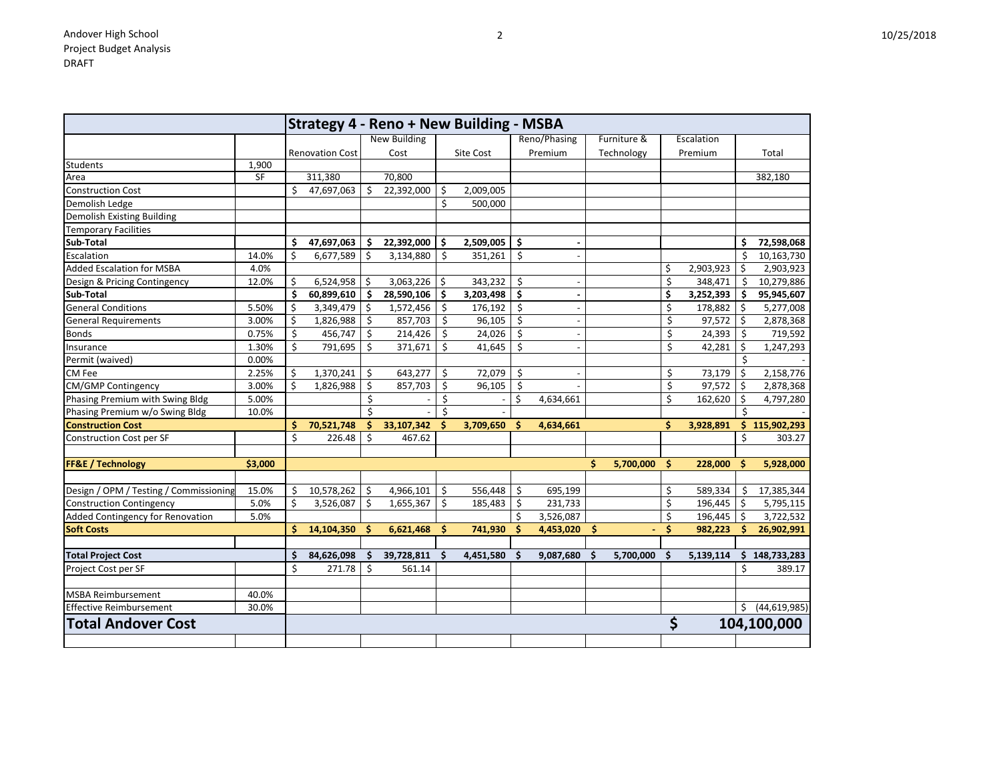|                                        |           |     | <b>Strategy 4 - Reno + New Building - MSBA</b> |          |                     |          |           |         |              |                 |    |            |     |                 |
|----------------------------------------|-----------|-----|------------------------------------------------|----------|---------------------|----------|-----------|---------|--------------|-----------------|----|------------|-----|-----------------|
|                                        |           |     |                                                |          | <b>New Building</b> |          |           |         | Reno/Phasing | Furniture &     |    | Escalation |     |                 |
|                                        |           |     | <b>Renovation Cost</b>                         |          | Cost                |          | Site Cost |         | Premium      | Technology      |    | Premium    |     | Total           |
| Students                               | 1,900     |     |                                                |          |                     |          |           |         |              |                 |    |            |     |                 |
| Area                                   | <b>SF</b> |     | 311,380                                        |          | 70,800              |          |           |         |              |                 |    |            |     | 382,180         |
| <b>Construction Cost</b>               |           | Ś   | 47,697,063                                     | \$       | 22,392,000          | \$       | 2,009,005 |         |              |                 |    |            |     |                 |
| Demolish Ledge                         |           |     |                                                |          |                     | \$       | 500,000   |         |              |                 |    |            |     |                 |
| <b>Demolish Existing Building</b>      |           |     |                                                |          |                     |          |           |         |              |                 |    |            |     |                 |
| <b>Temporary Facilities</b>            |           |     |                                                |          |                     |          |           |         |              |                 |    |            |     |                 |
| Sub-Total                              |           | Ŝ.  | 47,697,063                                     | -\$      | 22,392,000          | \$       | 2,509,005 | \$      |              |                 |    |            | Ŝ.  | 72,598,068      |
| Escalation                             | 14.0%     | \$  | 6,677,589                                      | \$       | 3,134,880           | \$       | 351,261   | $\zeta$ |              |                 |    |            | \$  | 10,163,730      |
| <b>Added Escalation for MSBA</b>       | 4.0%      |     |                                                |          |                     |          |           |         |              |                 | \$ | 2,903,923  | \$  | 2,903,923       |
| Design & Pricing Contingency           | 12.0%     | \$  | 6,524,958                                      | \$       | 3,063,226           | -\$      | 343,232   | \$      |              |                 | \$ | 348,471    | -Ś  | 10,279,886      |
| Sub-Total                              |           | . Ś | 60,899,610                                     | Ŝ.       | 28,590,106          | \$       | 3,203,498 | \$      |              |                 | \$ | 3,252,393  | Ŝ.  | 95,945,607      |
| <b>General Conditions</b>              | 5.50%     | \$  | 3,349,479                                      | \$.      | 1,572,456           | \$       | 176,192   | \$      |              |                 | \$ | 178,882    | \$  | 5,277,008       |
| <b>General Requirements</b>            | 3.00%     | \$  | 1,826,988                                      |          | 857,703             | \$       | 96,105    | \$      |              |                 | \$ | 97,572     | \$  | 2,878,368       |
| <b>Bonds</b>                           | 0.75%     | \$  | 456,747                                        | Ŝ        | 214,426             | \$       | 24,026    | \$      |              |                 | \$ | 24,393     | \$  | 719,592         |
| Insurance                              | 1.30%     | \$  | 791,695                                        | \$       | 371,671             | \$       | 41,645    | \$      |              |                 | \$ | 42,281     | \$  | 1,247,293       |
| Permit (waived)                        | 0.00%     |     |                                                |          |                     |          |           |         |              |                 |    |            | \$  |                 |
| CM Fee                                 | 2.25%     | \$  | 1,370,241                                      | \$       | 643,277             | \$       | 72,079    | \$      |              |                 | \$ | 73,179     | \$, | 2,158,776       |
| <b>CM/GMP Contingency</b>              | 3.00%     | \$  | 1,826,988                                      | \$       | 857,703             | \$       | 96,105    | \$      |              |                 | \$ | 97,572     | \$  | 2,878,368       |
| Phasing Premium with Swing Bldg        | 5.00%     |     |                                                |          |                     | Ś        |           | \$      | 4,634,661    |                 | \$ | 162,620    | \$  | 4,797,280       |
| Phasing Premium w/o Swing Bldg         | 10.0%     |     |                                                |          |                     | Ś        |           |         |              |                 |    |            | Ŝ   |                 |
| <b>Construction Cost</b>               |           | S   | 70,521,748                                     | S        | 33,107,342          |          | 3,709,650 | Ŝ.      | 4,634,661    |                 | Ś. | 3,928,891  |     | \$115,902,293   |
| <b>Construction Cost per SF</b>        |           | \$  | 226.48                                         | \$       | 467.62              |          |           |         |              |                 |    |            | \$  | 303.27          |
|                                        |           |     |                                                |          |                     |          |           |         |              |                 |    |            |     |                 |
| <b>FF&amp;E / Technology</b>           | \$3,000   |     |                                                |          |                     |          |           |         |              | Ŝ.<br>5,700,000 | \$ | 228,000    | Ŝ   | 5,928,000       |
|                                        |           |     |                                                |          |                     |          |           |         |              |                 |    |            |     |                 |
| Design / OPM / Testing / Commissioning | 15.0%     | \$  | 10,578,262                                     | \$       | 4,966,101           | \$       | 556,448   | \$      | 695,199      |                 | \$ | 589,334    | S   | 17,385,344      |
| <b>Construction Contingency</b>        | 5.0%      | \$  | 3,526,087                                      | \$       | 1,655,367           | \$       | 185,483   | \$      | 231,733      |                 | \$ | 196,445    | \$  | 5,795,115       |
| Added Contingency for Renovation       | 5.0%      |     |                                                |          |                     |          |           | \$      | 3,526,087    |                 | \$ | 196,445    | Ŝ.  | 3,722,532       |
| <b>Soft Costs</b>                      |           | Ś   | 14,104,350                                     | <b>S</b> | 6,621,468           | S        | 741,930   | \$.     | 4,453,020    | S               | Ś  | 982,223    |     | 26,902,991      |
| <b>Total Project Cost</b>              |           | \$  | 84,626,098                                     | \$.      | 39,728,811          | <b>S</b> | 4,451,580 | \$      | 9,087,680    | \$<br>5,700,000 | \$ | 5,139,114  |     | \$148,733,283   |
| Project Cost per SF                    |           | \$  | 271.78                                         | \$       | 561.14              |          |           |         |              |                 |    |            | \$  | 389.17          |
|                                        |           |     |                                                |          |                     |          |           |         |              |                 |    |            |     |                 |
| <b>MSBA Reimbursement</b>              | 40.0%     |     |                                                |          |                     |          |           |         |              |                 |    |            |     |                 |
| <b>Effective Reimbursement</b>         | 30.0%     |     |                                                |          |                     |          |           |         |              |                 |    |            |     | \$ (44,619,985) |
| <b>Total Andover Cost</b>              |           |     |                                                |          |                     |          |           |         |              |                 | \$ |            |     | 104,100,000     |
|                                        |           |     |                                                |          |                     |          |           |         |              |                 |    |            |     |                 |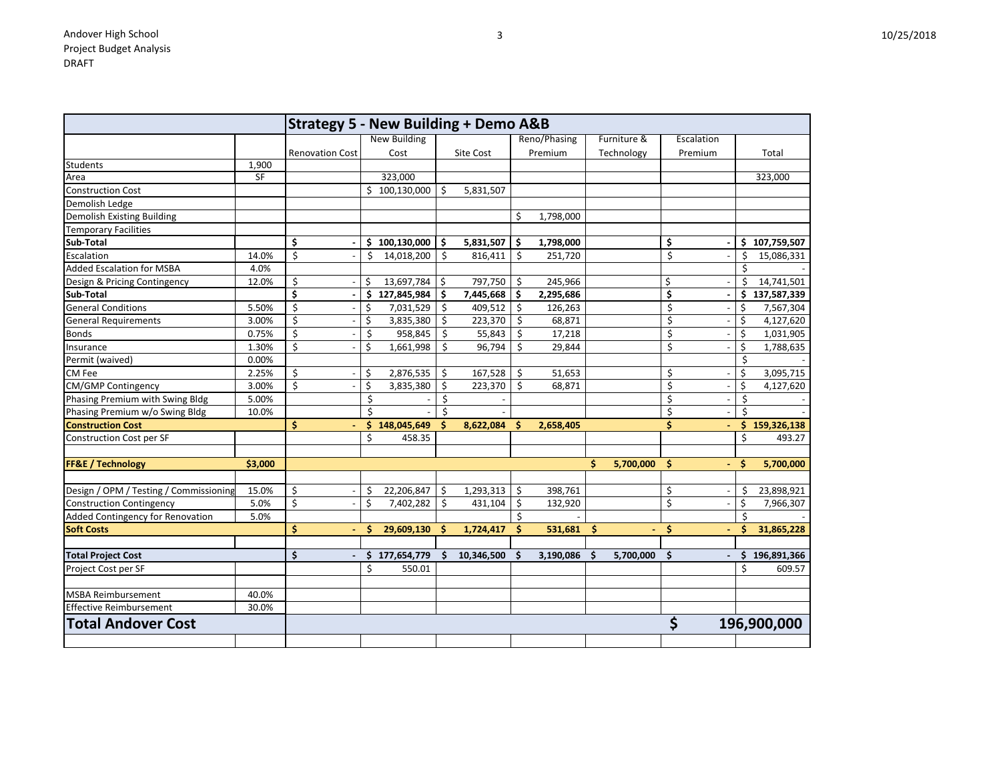|                                         |           | <b>Strategy 5 - New Building + Demo A&amp;B</b> |     |                     |     |            |          |              |                 |                                |     |               |
|-----------------------------------------|-----------|-------------------------------------------------|-----|---------------------|-----|------------|----------|--------------|-----------------|--------------------------------|-----|---------------|
|                                         |           |                                                 |     | <b>New Building</b> |     |            |          | Reno/Phasing | Furniture &     | Escalation                     |     |               |
|                                         |           | <b>Renovation Cost</b>                          |     | Cost                |     | Site Cost  |          | Premium      | Technology      | Premium                        |     | Total         |
| <b>Students</b>                         | 1,900     |                                                 |     |                     |     |            |          |              |                 |                                |     |               |
| Area                                    | <b>SF</b> |                                                 |     | 323,000             |     |            |          |              |                 |                                |     | 323,000       |
| <b>Construction Cost</b>                |           |                                                 |     | \$100,130,000       | \$. | 5,831,507  |          |              |                 |                                |     |               |
| Demolish Ledge                          |           |                                                 |     |                     |     |            |          |              |                 |                                |     |               |
| <b>Demolish Existing Building</b>       |           |                                                 |     |                     |     |            | \$       | 1,798,000    |                 |                                |     |               |
| <b>Temporary Facilities</b>             |           |                                                 |     |                     |     |            |          |              |                 |                                |     |               |
| Sub-Total                               |           | \$                                              |     | \$100,130,000       | \$. | 5,831,507  | -S       | 1,798,000    |                 | \$<br>$\blacksquare$           |     | \$107,759,507 |
| Escalation                              | 14.0%     | \$                                              | \$  | 14,018,200          | \$  | 816,411    | \$       | 251,720      |                 | \$<br>$\overline{\phantom{a}}$ | Ś   | 15,086,331    |
| <b>Added Escalation for MSBA</b>        | 4.0%      |                                                 |     |                     |     |            |          |              |                 |                                |     |               |
| Design & Pricing Contingency            | 12.0%     | \$                                              | \$. | 13,697,784          | \$. | 797,750    | \$       | 245,966      |                 | \$                             | \$  | 14,741,501    |
| Sub-Total                               |           | \$                                              | \$  | 127,845,984         | \$  | 7,445,668  | \$       | 2,295,686    |                 | \$<br>$\blacksquare$           | \$  | 137,587,339   |
| <b>General Conditions</b>               | 5.50%     | \$                                              | \$  | 7,031,529           | \$  | 409,512    | -\$      | 126,263      |                 | \$                             | \$  | 7,567,304     |
| <b>General Requirements</b>             | 3.00%     | Ś                                               | \$  | 3,835,380           | \$  | 223,370    | \$       | 68,871       |                 | \$                             | \$  | 4,127,620     |
| <b>Bonds</b>                            | 0.75%     | Ś                                               | \$, | 958,845             | \$  | 55,843     | S        | 17,218       |                 | \$                             |     | 1,031,905     |
| Insurance                               | 1.30%     | \$<br>$\overline{\phantom{a}}$                  | \$  | 1,661,998           | \$  | 96,794     | Ś.       | 29,844       |                 | \$<br>$\blacksquare$           | \$  | 1,788,635     |
| Permit (waived)                         | 0.00%     |                                                 |     |                     |     |            |          |              |                 |                                | \$  |               |
| CM Fee                                  | 2.25%     | \$                                              | \$  | 2,876,535           | \$  | 167,528    | \$       | 51,653       |                 | \$                             | \$  | 3,095,715     |
| <b>CM/GMP Contingency</b>               | 3.00%     | \$                                              | \$  | 3,835,380           | Ŝ   | 223,370    | \$       | 68,871       |                 | \$                             | \$  | 4,127,620     |
| Phasing Premium with Swing Bldg         | 5.00%     |                                                 | \$  |                     |     |            |          |              |                 | \$                             | \$  |               |
| Phasing Premium w/o Swing Bldg          | 10.0%     |                                                 | Ś   |                     |     |            |          |              |                 | \$                             |     |               |
| <b>Construction Cost</b>                |           | \$                                              | \$. | 148,045,649         |     | 8,622,084  | Ŝ.       | 2,658,405    |                 | \$                             | Ŝ.  | 159,326,138   |
| Construction Cost per SF                |           |                                                 | \$  | 458.35              |     |            |          |              |                 |                                | \$  | 493.27        |
|                                         |           |                                                 |     |                     |     |            |          |              |                 |                                |     |               |
| FF&E / Technology                       | \$3,000   |                                                 |     |                     |     |            |          |              | Ś.<br>5,700,000 | \$.<br>$\blacksquare$          | S   | 5,700,000     |
| Design / OPM / Testing / Commissioning  | 15.0%     | \$                                              | \$  | 22,206,847          | \$  | 1,293,313  | \$       | 398,761      |                 | \$                             | \$, | 23,898,921    |
| <b>Construction Contingency</b>         | 5.0%      | \$                                              | \$  | 7,402,282           | \$  | 431,104    | \$       | 132,920      |                 | \$                             | \$  | 7,966,307     |
| <b>Added Contingency for Renovation</b> | 5.0%      |                                                 |     |                     |     |            | Ś        |              |                 |                                | Ś   |               |
| <b>Soft Costs</b>                       |           | \$                                              | \$  | 29,609,130          | -S  | 1,724,417  | S        | 531,681      | <b>S</b>        | \$                             |     | 31,865,228    |
|                                         |           |                                                 |     |                     |     |            |          |              |                 |                                |     |               |
| <b>Total Project Cost</b>               |           | \$                                              | S   | 177,654,779         |     | 10,346,500 | <b>S</b> | 3,190,086    | 5,700,000<br>S  | S<br>$\blacksquare$            |     | 196,891,366   |
| Project Cost per SF                     |           |                                                 | ¢   | 550.01              |     |            |          |              |                 |                                |     | 609.57        |
| <b>MSBA Reimbursement</b>               | 40.0%     |                                                 |     |                     |     |            |          |              |                 |                                |     |               |
| Effective Reimbursement                 | 30.0%     |                                                 |     |                     |     |            |          |              |                 |                                |     |               |
| <b>Total Andover Cost</b>               |           |                                                 |     |                     |     |            |          |              |                 | \$                             |     | 196,900,000   |
|                                         |           |                                                 |     |                     |     |            |          |              |                 |                                |     |               |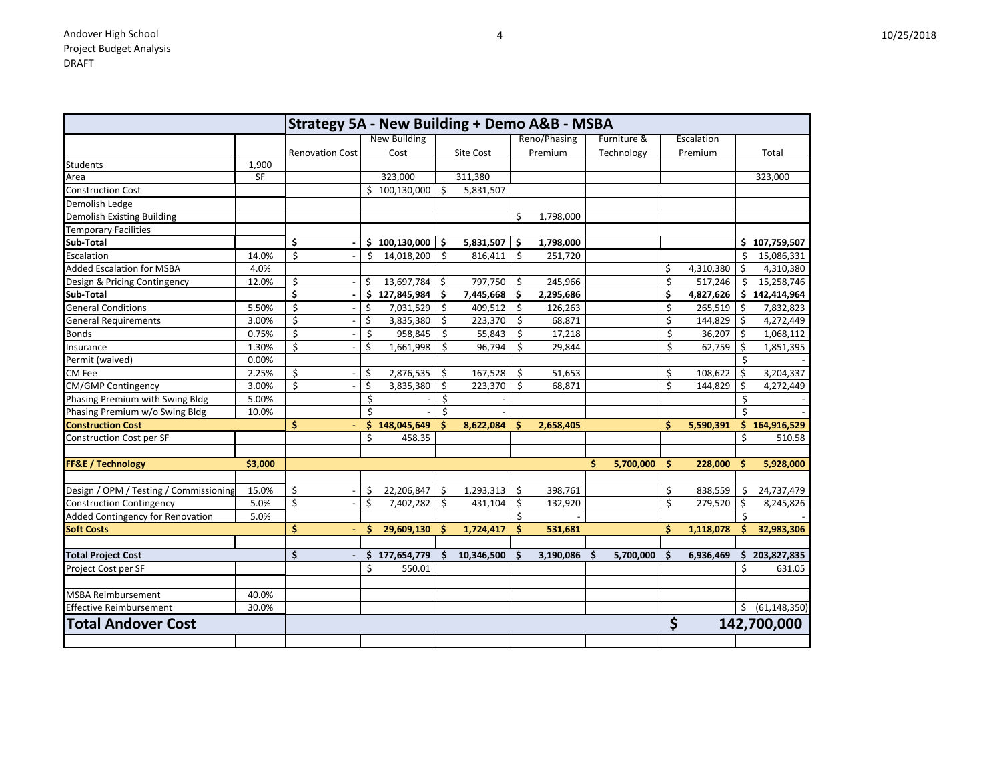| Λ | 10/25/2018 |
|---|------------|
|---|------------|

|                                        |         | <b>Strategy 5A - New Building + Demo A&amp;B - MSBA</b> |    |                     |    |            |     |              |                       |  |     |            |     |                   |
|----------------------------------------|---------|---------------------------------------------------------|----|---------------------|----|------------|-----|--------------|-----------------------|--|-----|------------|-----|-------------------|
|                                        |         |                                                         |    | <b>New Building</b> |    |            |     | Reno/Phasing | Furniture &           |  |     | Escalation |     |                   |
|                                        |         | <b>Renovation Cost</b>                                  |    | Cost                |    | Site Cost  |     | Premium      | Technology            |  |     | Premium    |     | Total             |
| Students                               | 1,900   |                                                         |    |                     |    |            |     |              |                       |  |     |            |     |                   |
| Area                                   | SF      |                                                         |    | 323,000             |    | 311,380    |     |              |                       |  |     |            |     | 323,000           |
| <b>Construction Cost</b>               |         |                                                         |    | \$100,130,000       | \$ | 5,831,507  |     |              |                       |  |     |            |     |                   |
| Demolish Ledge                         |         |                                                         |    |                     |    |            |     |              |                       |  |     |            |     |                   |
| <b>Demolish Existing Building</b>      |         |                                                         |    |                     |    |            | \$  | 1,798,000    |                       |  |     |            |     |                   |
| <b>Temporary Facilities</b>            |         |                                                         |    |                     |    |            |     |              |                       |  |     |            |     |                   |
| Sub-Total                              |         | \$                                                      |    | \$100,130,000       | \$ | 5,831,507  | Ş.  | 1,798,000    |                       |  |     |            | S.  | 107,759,507       |
| Escalation                             | 14.0%   | \$                                                      | \$ | 14,018,200          | \$ | 816,411    | \$  | 251,720      |                       |  |     |            | Ś   | 15,086,331        |
| <b>Added Escalation for MSBA</b>       | 4.0%    |                                                         |    |                     |    |            |     |              |                       |  | \$  | 4,310,380  | Ś.  | 4,310,380         |
| Design & Pricing Contingency           | 12.0%   | \$                                                      | \$ | 13,697,784          | \$ | 797,750    | \$  | 245,966      |                       |  | \$  | 517,246    | Ŝ   | 15,258,746        |
| Sub-Total                              |         | \$                                                      | \$ | 127,845,984         | \$ | 7,445,668  | \$  | 2,295,686    |                       |  | \$  | 4,827,626  | \$. | 142,414,964       |
| <b>General Conditions</b>              | 5.50%   | \$                                                      | \$ | 7,031,529           | \$ | 409,512    | \$  | 126,263      |                       |  | \$  | 265,519    | Ŝ.  | 7,832,823         |
| <b>General Requirements</b>            | 3.00%   | \$                                                      | \$ | 3,835,380           | \$ | 223,370    | \$  | 68,871       |                       |  | \$  | 144,829    | \$  | 4,272,449         |
| <b>Bonds</b>                           | 0.75%   | \$                                                      | \$ | 958,845             | \$ | 55,843     | \$  | 17,218       |                       |  | \$  | 36,207     | \$  | 1,068,112         |
| Insurance                              | 1.30%   | \$                                                      | \$ | 1,661,998           | \$ | 96,794     | \$  | 29,844       |                       |  | \$  | 62,759     | \$  | 1,851,395         |
| Permit (waived)                        | 0.00%   |                                                         |    |                     |    |            |     |              |                       |  |     |            | \$  |                   |
| CM Fee                                 | 2.25%   | \$                                                      | \$ | 2,876,535           | \$ | 167,528    | \$  | 51,653       |                       |  | \$  | 108,622    | \$  | 3,204,337         |
| CM/GMP Contingency                     | 3.00%   | \$                                                      | \$ | 3,835,380           | \$ | 223,370    | \$  | 68,871       |                       |  | \$  | 144,829    | \$  | 4,272,449         |
| Phasing Premium with Swing Bldg        | 5.00%   |                                                         | \$ |                     | \$ |            |     |              |                       |  |     |            | Ś   |                   |
| Phasing Premium w/o Swing Bldg         | 10.0%   |                                                         | \$ |                     |    |            |     |              |                       |  |     |            |     |                   |
| <b>Construction Cost</b>               |         | \$                                                      | \$ | 148,045,649         | Ś  | 8,622,084  | Ŝ   | 2,658,405    |                       |  | \$  | 5,590,391  |     | \$164,916,529     |
| <b>Construction Cost per SF</b>        |         |                                                         | \$ | 458.35              |    |            |     |              |                       |  |     |            | \$  | 510.58            |
|                                        |         |                                                         |    |                     |    |            |     |              |                       |  |     |            |     |                   |
| <b>FF&amp;E / Technology</b>           | \$3,000 |                                                         |    |                     |    |            |     |              | Ś<br>5,700,000        |  | \$  | 228,000    |     | 5,928,000         |
| Design / OPM / Testing / Commissioning | 15.0%   | \$                                                      | \$ | 22,206,847          | \$ | 1,293,313  | \$  | 398,761      |                       |  | \$  | 838,559    | -S  | 24,737,479        |
| <b>Construction Contingency</b>        | 5.0%    | \$                                                      | \$ | 7,402,282           | \$ | 431,104    | \$  | 132,920      |                       |  | \$  | 279,520    | \$  | 8,245,826         |
| Added Contingency for Renovation       | 5.0%    |                                                         |    |                     |    |            | Ś   |              |                       |  |     |            |     |                   |
| <b>Soft Costs</b>                      |         | \$                                                      | \$ | 29,609,130          | S  | 1,724,417  | \$. | 531,681      |                       |  | \$  | 1,118,078  |     | 32,983,306        |
|                                        |         |                                                         |    |                     |    |            |     |              |                       |  |     |            |     |                   |
| <b>Total Project Cost</b>              |         | \$                                                      | \$ | 177,654,779         |    | 10,346,500 | S   | 3,190,086    | 5,700,000<br><b>S</b> |  | \$. | 6,936,469  | S   | 203,827,835       |
| Project Cost per SF                    |         |                                                         | Ś. | 550.01              |    |            |     |              |                       |  |     |            | Ś   | 631.05            |
| <b>MSBA Reimbursement</b>              | 40.0%   |                                                         |    |                     |    |            |     |              |                       |  |     |            |     |                   |
| <b>Effective Reimbursement</b>         | 30.0%   |                                                         |    |                     |    |            |     |              |                       |  |     |            |     | \$ (61, 148, 350) |
| <b>Total Andover Cost</b>              |         |                                                         |    |                     |    |            |     |              |                       |  | \$  |            |     | 142,700,000       |
|                                        |         |                                                         |    |                     |    |            |     |              |                       |  |     |            |     |                   |